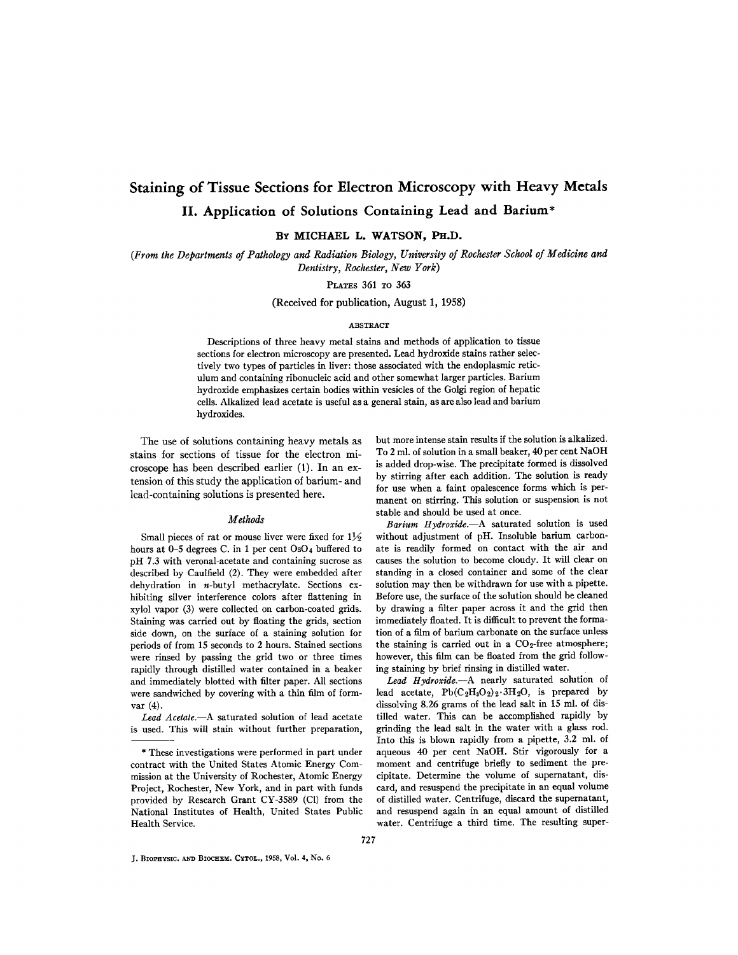# **Staining of Tissue Sections for Electron Microscopy with Heavy Metals II. Application of Solutions Containing Lead and Barium\***

**BY MICHAEL L. WATSON, PH.D.** 

*(From the Departments of Pathology and Radiation Biology, University of Rochester School of Medicine and Dentistry, Rochester, New York)* 

PLATES 361 To 363

(Received for publication, August 1, 1958)

## ABSTRACT

Descriptions of three heavy metal stains and methods of application to tissue sections for electron microscopy are presented. Lead hydroxide stains rather selectively two types of particles in liver: those associated with the endoplasmic reticulum and containing ribonucleic acid and other somewhat larger particles. Barium hydroxide emphasizes certain bodies within vesicles of the Golgi region of hepatic cells. Alkalized lead acetate is useful as a general stain, as are also lead and barium hydroxides.

The use of solutions containing heavy metals as stains for sections of tissue for the electron microscope has been described earlier (1). In an extension of this study the application of barium- and lead-containing solutions is presented here.

# *Methods*

Small pieces of rat or mouse liver were fixed for  $1\frac{1}{2}$ hours at 0-5 degrees C. in 1 per cent  $OsO<sub>4</sub>$  buffered to pH 7.3 with veronal-acetate and containing sucrose as described by Caulfield (2). They were embedded after dehydration in n-butyl methacrylate. Sections exhibiting silver interference colors after flattening in xylol vapor (3) were collected on carbon-coated grids. Staining was carried out by floating the grids, section side down, on the surface of a staining solution for periods of from 15 seconds to 2 hours. Stained sections were rinsed by passing the grid two or three times rapidly through distilled water contained in a beaker and immediately blotted with filter paper. All sections were sandwiched by covering with a thin film of formvar  $(4)$ .

*Lead Acetate.--A* saturated solution of lead acetate is used. This will stain without further preparation,

but more intense stain results if the solution is alkalized. To 2 ml. of solution in a small beaker, 40 per cent NaOH is added drop-wise. The precipitate formed is dissolved by stirring after each addition. The solution is ready for use when a faint opalescence forms which is permanent on stirring. This solution or suspension is not stable and should be used at once.

*Barium Hydroxide.--A* saturated solution is used without adjustment of pH. Insoluble barium carbonate is readily formed on contact with the air and causes the solution to become cloudy. It will clear on standing in a closed container and some of the clear solution may then be withdrawn for use with a pipette. Before use, the surface of the solution should be cleaned by drawing a filter paper across it and the grid then immediately floated. It is difficult to prevent the formation of a film of barium carbonate on the surface unless the staining is carried out in a  $CO_2$ -free atmosphere; however, this film can be floated from the grid following staining by brief rinsing in distilled water.

Lead Hydroxide.--A nearly saturated solution of lead acetate,  $Pb(C_2H_3O_2)_2.3H_2O$ , is prepared by dissolving 8.26 grams of the lead salt in 15 ml. of distilled water. This can be accomplished rapidly by grinding the lead salt in the water with a glass rod. Into this is blown rapidly from a pipette, 3.2 ml. of aqueous 40 per cent NaOH. Stir vigorously for a moment and centrifuge briefly to sediment the precipitate. Determine the volume of supernatant, discard, and resuspend the precipitate in an equal volume of distilled water. Centrifuge, discard the supernatant, and resuspend again in an equal amount of distilled water. Centrifuge a third time. The resulting super-

<sup>\*</sup> These investigations were performed in part under contract with the United States Atomic Energy Commission at the University of Rochester, Atomic Energy Project, Rochester, New York, and in part with funds provided by Research Grant CY-3589 (C1) from the National Institutes of Health, United States Public Health Service.

J. BIOPHYSIC. AND BIOCHEM. CXTOL., 1958, Vol. 4, No. 6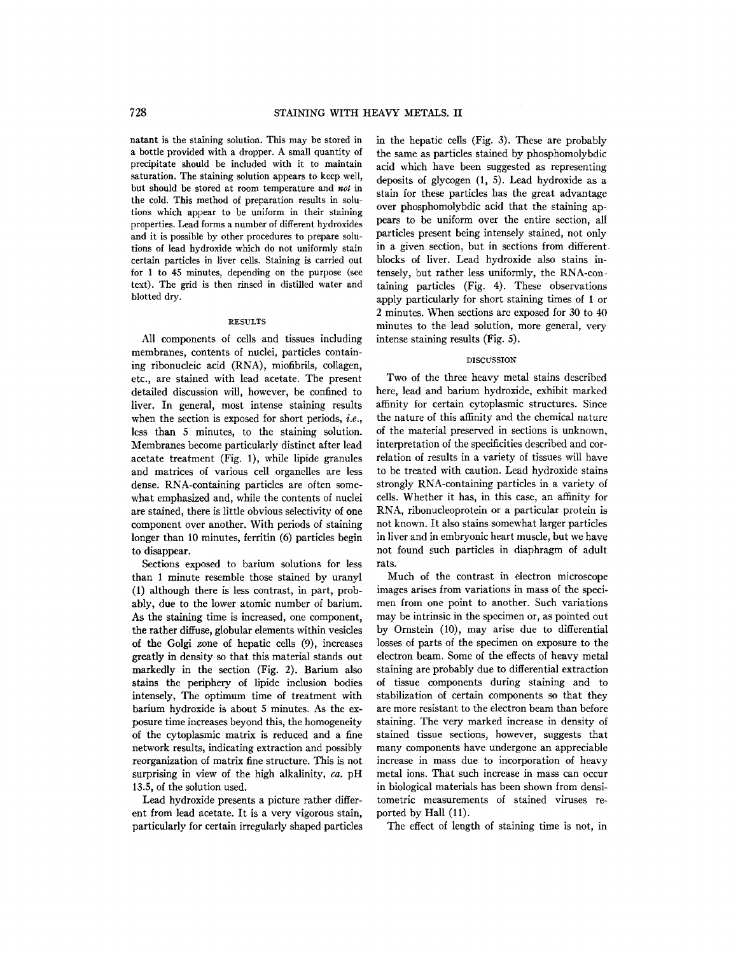natant is the staining solution. This may be stored in a bottle provided with a dropper. A small quantity of precipitate should be included with it to maintain saturation. The staining solution appears to keep well, but should be stored at room temperature and *not* in the cold. This method of preparation results in solutions which appear to be uniform in their staining properties. Lead forms a number of different hydroxides and it is possible by other procedures to prepare solutions of lead hydroxide which do not uniformly stain certain particles in liver cells. Staining is carried out for 1 to 45 minutes, depending on the purpose (see text). The grid is then rinsed in distilled water and blotted dry.

#### RESULTS

All components of cells and tissues including membranes, contents of nuclei, particles containing ribonucleic acid (RNA), miofibrils, collagen, etc., are stained with lead acetate. The present detailed discussion will, however, be confined to liver. In general, most intense staining results when the section is exposed for short periods, *i.e.,*  less than 5 minutes, to the staining solution. Membranes become particularly distinct after lead acetate treatment (Fig. 1), while lipide granules and matrices of various cell organelles are less dense. RNA-eontaining particles are often somewhat emphasized and, while the contents of nuclei are stained, there is little obvious selectivity of one component over another. With periods of staining longer than 10 minutes, ferritin (6) particles begin to disappear.

Sections exposed to barium solutions for less than 1 minute resemble those stained by uranyl (1) although there is less contrast, in part, probably, due to the lower atomic number of barium. As the staining time is increased, one component, the rather diffuse, globular elements within vesicles of the Golgi zone of hepatic cells (9), increases greatly in density so that this material stands out markedly in the section (Fig. 2). Barium also stains the periphery of lipide inclusion bodies intensely, The optimum time of treatment with barium hydroxide is about 5 minutes. As the exposure time increases beyond this, the homogeneity of the cytoplasmic matrix is reduced and a fine network results, indicating extraction and possibly reorganization of matrix fine structure. This is not surprising in view of the high alkalinity, *ca.* pH 13.5, of the solution used.

Lead hydroxide presents a picture rather different from lead acetate. It is a very vigorous stain, particularly for certain irregularly shaped particles

in the hepatic cells (Fig. 3). These are probably the same as particles stained by phosphomolybdic acid which have been suggested as representing deposits of glycogen (1, 5). Lead hydroxide as a stain for these particles has the great advantage over phosphomolybdic acid that the staining appears to be uniform over the entire section, all particles present being intensely stained, not only in a given section, but in sections from different blocks of liver. Lead hydroxide also stains intensely, but rather less uniformly, the RNA-containing particles (Fig. 4). These observations apply particularly for short staining times of 1 or 2 minutes. When sections are exposed for 30 to 40 minutes to the lead solution, more general, very intense staining results (Fig. 5).

#### DISCUSSION

Two of the three heavy metal stains described here, lead and barium hydroxide, exhibit marked affinity for certain cytoplasmic structures. Since the nature of this affinity and the chemical nature of the material preserved in sections is unknown, interpretation of the specificities described and correlation of results in a variety of tissues will have to be treated with caution. Lead hydroxide stains strongly RNA-containing particles in a variety of cells. Whether it has, in this case, an affinity for RNA, ribonucleoprotein or a particular protein is not known. It also stains somewhat larger particles in liver and in embryonic heart muscle, but we have not found such particles in diaphragm of adult rats.

Much of the contrast in electron microscope images arises from variations in mass of the specimen from one point to another. Such variations may be intrinsic in the specimen or, as pointed out by Ornstein (10), may arise due to differential losses of parts of the specimen on exposure to the electron beam. Some of the effects of heavy metal staining are probably due to differential extraction of tissue components during staining and to stabilization of certain components so that they are more resistant to the electron beam than before staining. The very marked increase in density of stained tissue sections, however, suggests that many components have undergone an appreciable increase in mass due to incorporation of heavy metal ions. That such increase in mass can occur in biological materials has been shown from densitometric measurements of stained Viruses reported by Hall (11).

The effect of length of staining time is not, in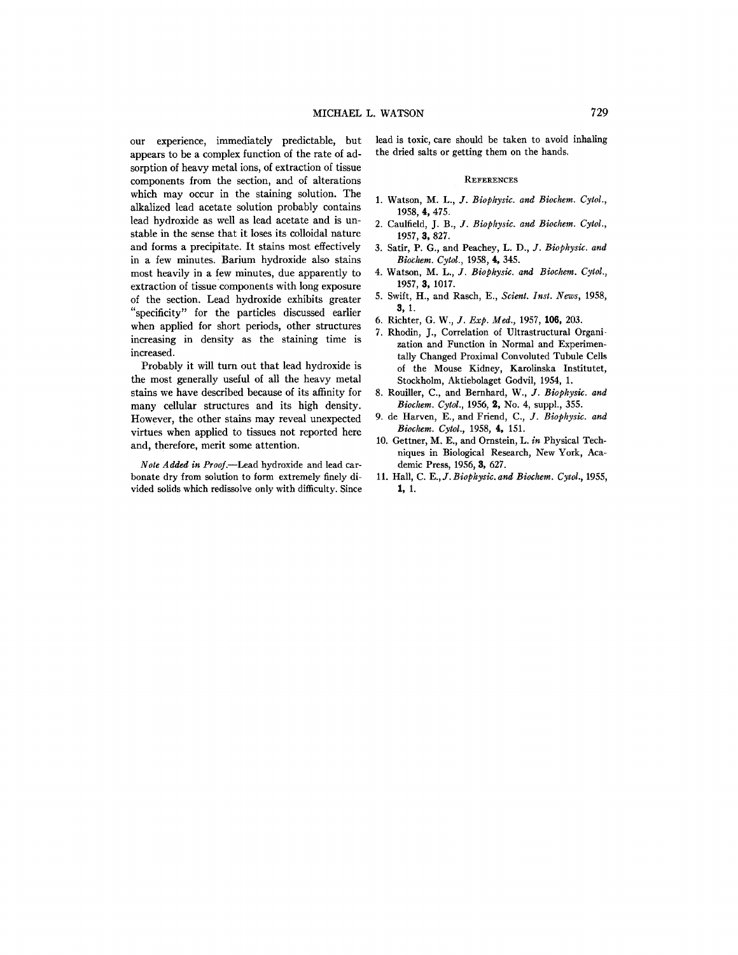our experience, immediately predictable, but appears to be a complex function of the rate of adsorption of heavy metal ions, of extraction of tissue components from the section, and of alterations which may occur in the staining solution. The alkalized lead acetate solution probably contains lead hydroxide as well as lead acetate and is unstable in the sense that it loses its colloidal nature and forms a precipitate. It stains most effectively in a few minutes. Barium hydroxide also stains most heavily in a few minutes, due apparently to extraction of tissue components with long exposure of the section. Lead hydroxide exhibits greater "specificity" for the particles discussed earlier when applied for short periods, other structures increasing in density as the staining time is increased.

Probably it will turn out that lead hydroxide is the most generally useful of all the heavy metal stains we have described because of its affinity for many cellular structures and its high density. However, the other stains may reveal unexpected virtues when applied to tissues not reported here and, therefore, merit some attention.

*Note Added in Proof.--Lead* hydroxide and lead carbonate dry from solution to form extremely finely divided solids which redissolve only with difficulty. Since

lead is toxic, care should be taken to avoid inhaling the dried salts or getting them on the hands.

## **REFERENCES**

- 1. Watson, M. L., *Y. Biophysic. and Biochem. Cytol.,*  1958, 4, 475.
- 2. Caulfield, J. B., *J. Biophysic. and Biochem. Cytol.*, 1957, 3, 827.
- 3. Satir, P. G., and Peaehey, *L. D., J. Biophysic. and Biochem. Cytol.,* 1958, 4, 345.
- 4. Watson, *M. L., J. Biophysic. and Bioehem. Cytol.,*  1957, 3, 1017.
- 5. Swift, H., and Rasch, E., *Scient. Inst. News,* 1958, **3,** I.
- 6. Richter, *G. W., J. Exp. Med.,* 1957, 106, 203.
- 7. Rhodin, J., Correlation of Ultrastructural Organization and Function in Normal and Experimentally Changed Proximal Convoluted Tubule Cells of the Mouse Kidney, Karolinska Institutet, Stockholm, Aktiebolaget Godvil, 1954, 1.
- 8. Rouiller, C., and Bernhard, *W., J. Biophysic. and Bioehem. Cytol.,* 1956, 2, No. 4, suppl., 355.
- 9. de Harven, E., and Friend, *C., J. Biophysic. and Biochem. Cytol.,* 1958, 4, 151.
- 10. Gettner, M. E., and Ornstein, *L. in* Physical Techniques in Biological Research, New York, Academic Press, 1956, 3, 627.
- 11. Hall, C. E., *J. Biophysic. and Biochem. Cytol.*, 1955, *1, 1.*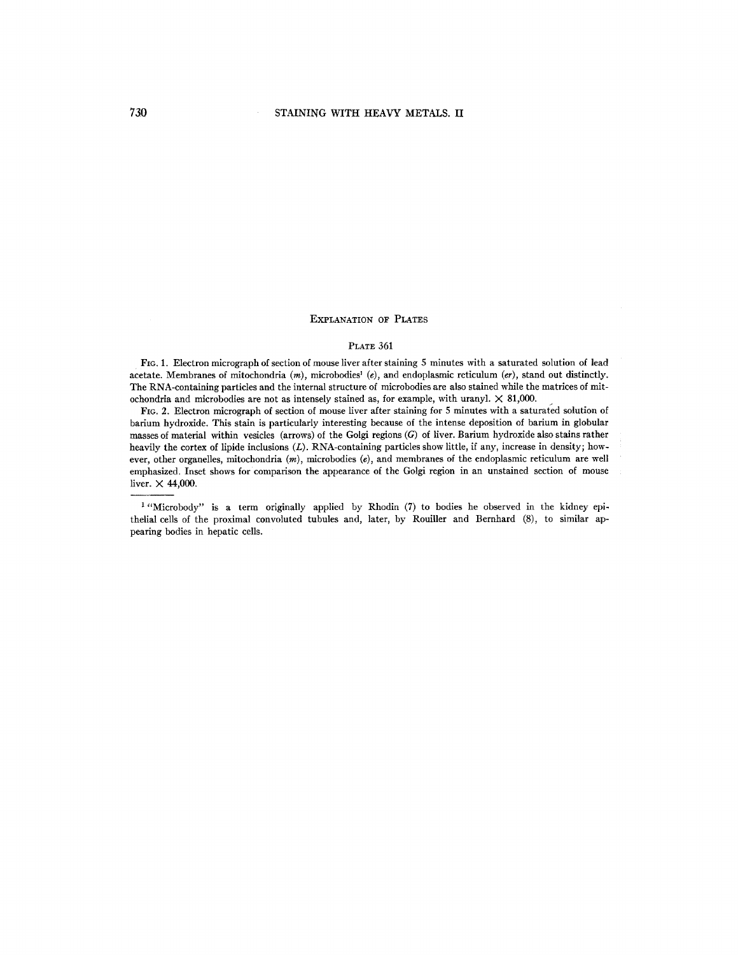## EXPLANATION OF PLATES

## **PLATE 361**

FIG. 1. Electron micrograph of section of mouse liver after staining 5 minutes with a saturated solution of lead acetate. Membranes of mitochondria (m), microbodies<sup>1</sup> (e), and endoplasmic reticulum (er), stand out distinctly. The RNA-containing particles and the internal structure of microbodies are also stained while the matrices of mitochondria and microbodies are not as intensely stained as, for example, with uranyl.  $\times$  81,000.

Fie. 2. Electron micrograph of section of mouse liver after staining for 5 minutes with a saturated solution of barium hydroxide. This stain is particularly interesting because of the intense deposition of barium in globular masses of material within vesicles (arrows) of the Golgi regions (G) of liver. Barium hydroxide also stains rather heavily the cortex of lipide inclusions (L). RNA-containing particles show little, if any, increase in density; however, other organelles, mitochondria (m), rnicrobodies *(e),* and membranes of the endoplasmic reticulum are well emphasized. Inset shows for comparison the appearance of the Golgi region in an unstained section of mouse liver.  $\times$  44,000.

<sup>1</sup> "Microbody" is a term originally applied by Rhodin (7) to bodies he observed in the kidney epithelial cells of the proximal convoluted tubules and, later, by Rouiller and Bernhard (8), to similar appearing bodies in hepatic cells.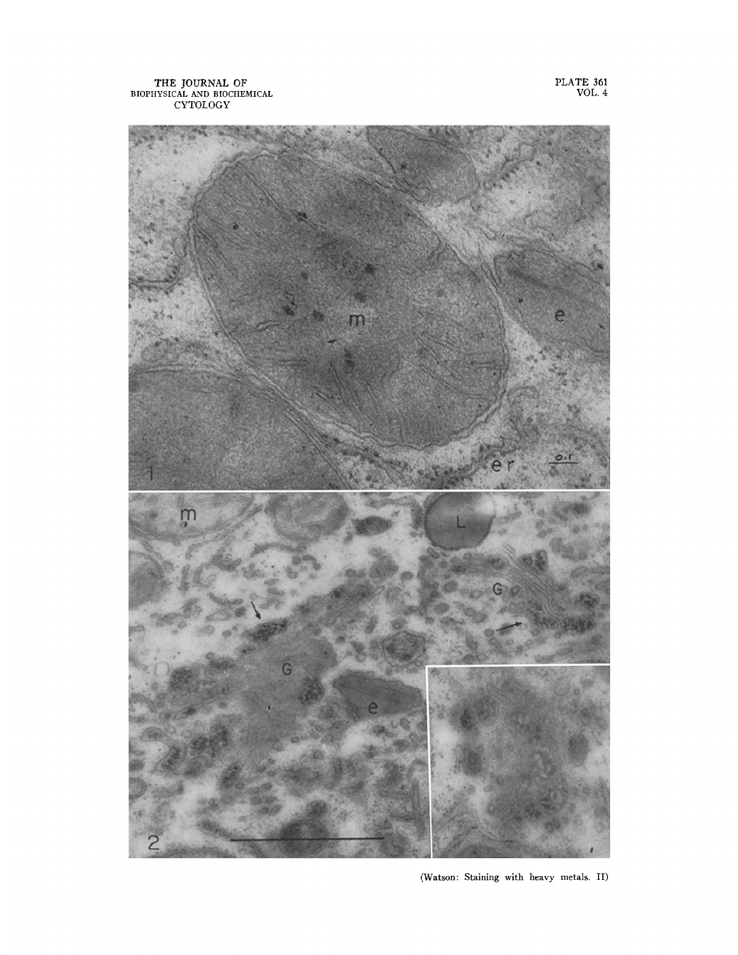THE JOURNAL OF BIOPHYSICAL AND BIOCHEMICAL CYTOLOGY

PLATE 361 VOL. 4



(Watson: Staining with heavy metals. II)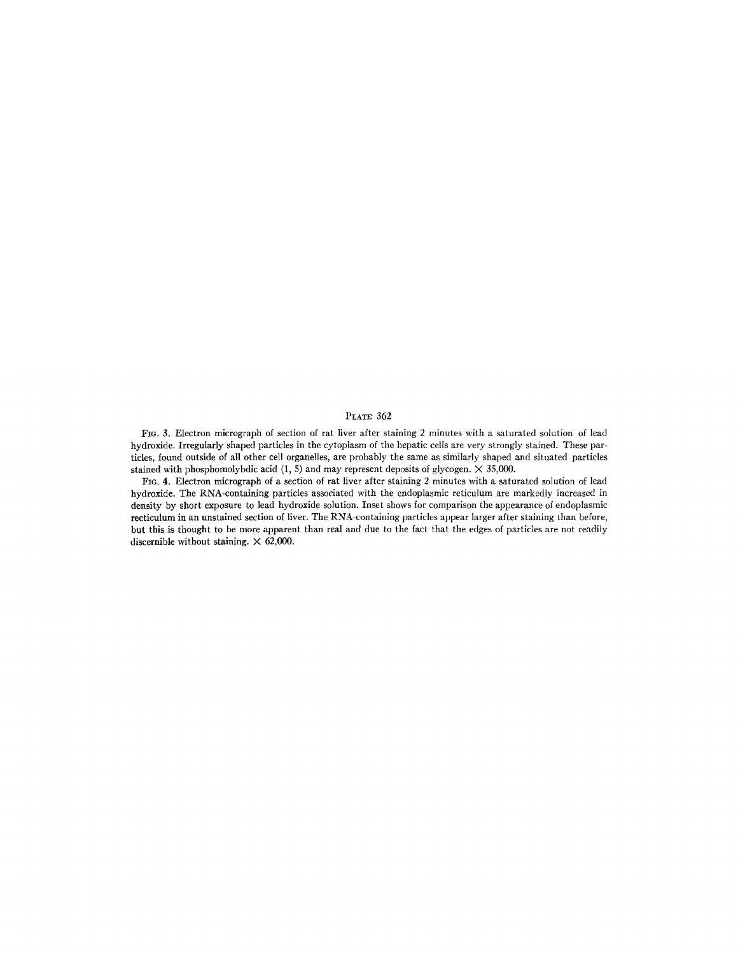## PLATE 362

FIo. 3. Electron micrograph of section of rat liver after staining 2 minutes with a saturated solution of lead hydroxide. Irregularly shaped particles in the cytoplasm of the hepatic cells are very strongly stained. These particles, found outside of all other cell organelles, are probably the same as similarly shaped and situated particles stained with phosphomolybdic acid  $(1, 5)$  and may represent deposits of glycogen.  $\times$  35,000.

FIG. 4. Electron micrograph of a section of rat liver after staining 2 minutes with a saturated solution of lead hydroxide. The RNA-containing particles associated with the endoplasmic reticulum are markedly increased in density by short exposure to lead hydroxide solution. Inset shows for comparison the appearance of endoplasmic recticulum in an unstained section of liver. The RNA-containing particles appear larger after staining than before, but this is thought to be more apparent than real and due to the fact that the edges of particles are not readiiy discernible without staining.  $\times$  62,000.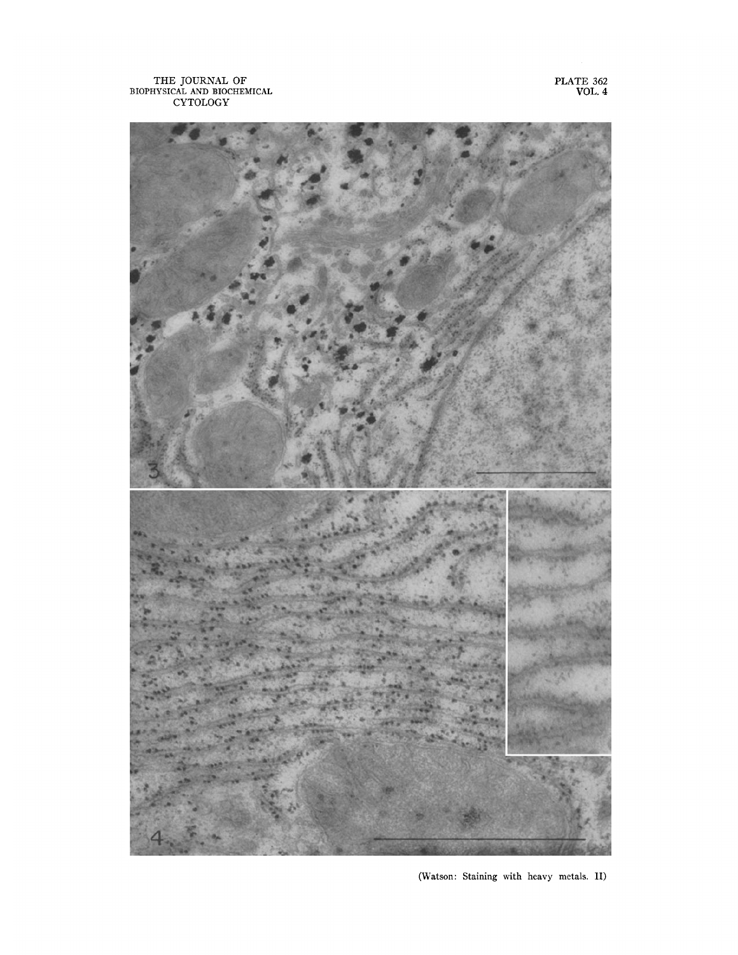THE JOURNAL OF BIOPHYSICAL AND BIOCHEMICAL CYTOLOGY

PLATE **362**  VOL. 4



(Watson: Staining with heavy metals. II)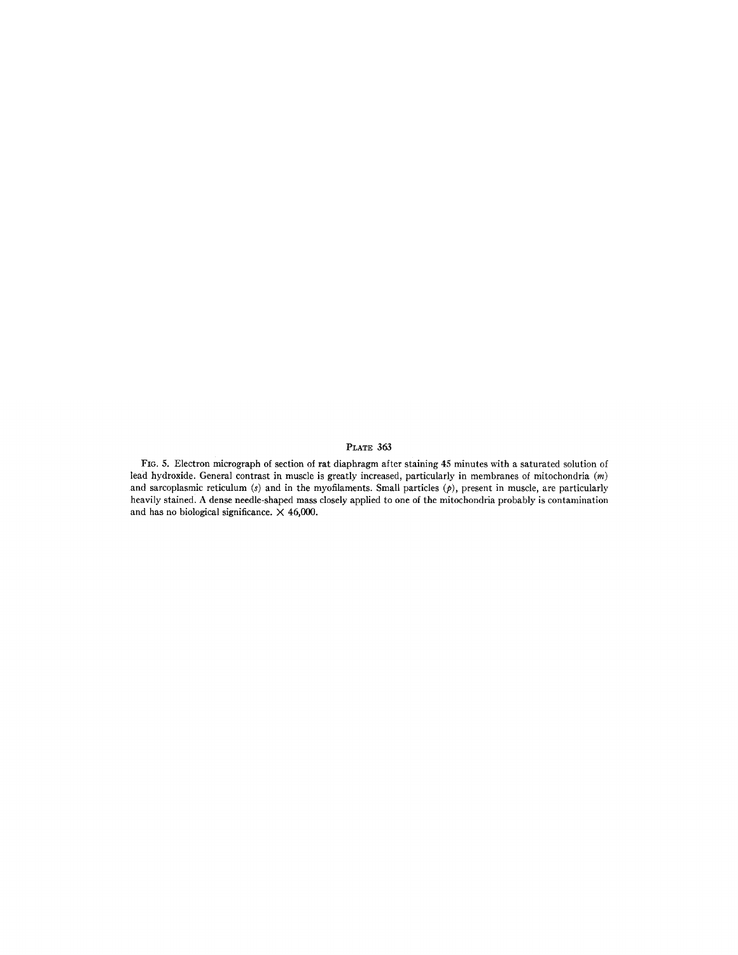# PLATE 363

FIG. 5. Electron micrograph of section of rat diaphragm after staining 45 minutes with a saturated solution of lead hydroxide. General contrast in muscle is greatly increased, particularly in membranes of mitochondria (m) and sarcoplasmic reticulum (s) and in the myofilaments. Small particles  $(p)$ , present in muscle, are particularly heavily stained. A dense needle-shaped mass closely applied to one of the mitochondria probably is contamination and has no biological significance.  $\times$  46,000.